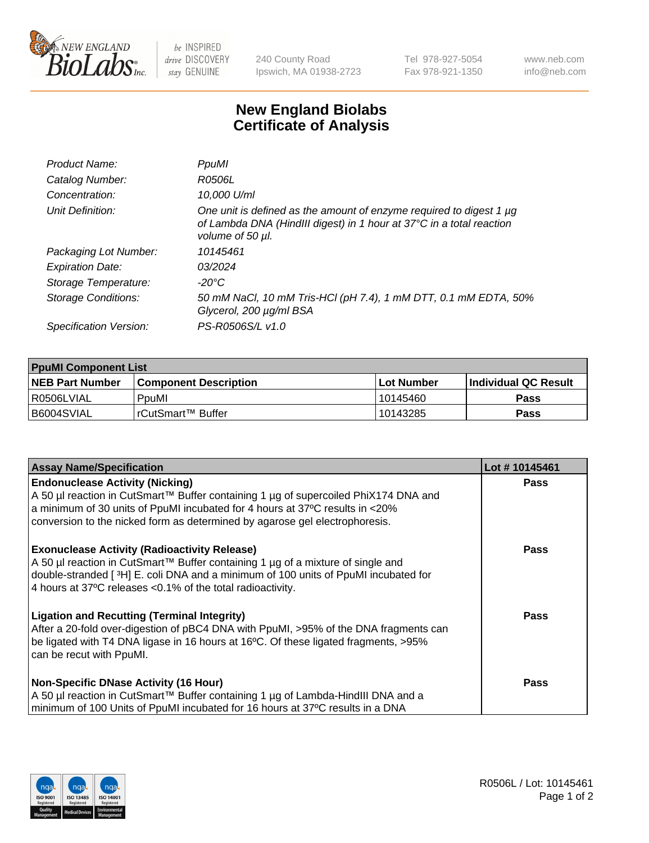

 $be$  INSPIRED drive DISCOVERY stay GENUINE

240 County Road Ipswich, MA 01938-2723 Tel 978-927-5054 Fax 978-921-1350 www.neb.com info@neb.com

## **New England Biolabs Certificate of Analysis**

| Product Name:           | PpuMI                                                                                                                                                           |
|-------------------------|-----------------------------------------------------------------------------------------------------------------------------------------------------------------|
| Catalog Number:         | R0506L                                                                                                                                                          |
| Concentration:          | 10,000 U/ml                                                                                                                                                     |
| Unit Definition:        | One unit is defined as the amount of enzyme required to digest 1 µg<br>of Lambda DNA (HindIII digest) in 1 hour at 37°C in a total reaction<br>volume of 50 µl. |
| Packaging Lot Number:   | 10145461                                                                                                                                                        |
| <b>Expiration Date:</b> | 03/2024                                                                                                                                                         |
| Storage Temperature:    | -20°C                                                                                                                                                           |
| Storage Conditions:     | 50 mM NaCl, 10 mM Tris-HCl (pH 7.4), 1 mM DTT, 0.1 mM EDTA, 50%<br>Glycerol, 200 µg/ml BSA                                                                      |
| Specification Version:  | PS-R0506S/L v1.0                                                                                                                                                |

| <b>PpuMI Component List</b> |                              |              |                             |  |  |
|-----------------------------|------------------------------|--------------|-----------------------------|--|--|
| <b>NEB Part Number</b>      | <b>Component Description</b> | l Lot Number | <b>Individual QC Result</b> |  |  |
| I R0506LVIAL                | PouMl                        | 10145460     | <b>Pass</b>                 |  |  |
| I B6004SVIAL                | TrCutSmart™ Buffer           | 10143285     | <b>Pass</b>                 |  |  |

| <b>Assay Name/Specification</b>                                                                                                                                                                                                                                                             | Lot #10145461 |
|---------------------------------------------------------------------------------------------------------------------------------------------------------------------------------------------------------------------------------------------------------------------------------------------|---------------|
| <b>Endonuclease Activity (Nicking)</b><br>  A 50 µl reaction in CutSmart™ Buffer containing 1 µg of supercoiled PhiX174 DNA and<br>a minimum of 30 units of PpuMI incubated for 4 hours at 37°C results in <20%                                                                             | <b>Pass</b>   |
| conversion to the nicked form as determined by agarose gel electrophoresis.                                                                                                                                                                                                                 |               |
| <b>Exonuclease Activity (Radioactivity Release)</b><br>A 50 µl reaction in CutSmart™ Buffer containing 1 µg of a mixture of single and<br>double-stranded [3H] E. coli DNA and a minimum of 100 units of PpuMI incubated for<br>4 hours at 37°C releases < 0.1% of the total radioactivity. | <b>Pass</b>   |
| <b>Ligation and Recutting (Terminal Integrity)</b><br>After a 20-fold over-digestion of pBC4 DNA with PpuMI, >95% of the DNA fragments can<br>be ligated with T4 DNA ligase in 16 hours at 16°C. Of these ligated fragments, >95%<br>can be recut with PpuMI.                               | Pass          |
| <b>Non-Specific DNase Activity (16 Hour)</b><br>A 50 µl reaction in CutSmart™ Buffer containing 1 µg of Lambda-HindIII DNA and a<br>minimum of 100 Units of PpuMI incubated for 16 hours at 37°C results in a DNA                                                                           | <b>Pass</b>   |